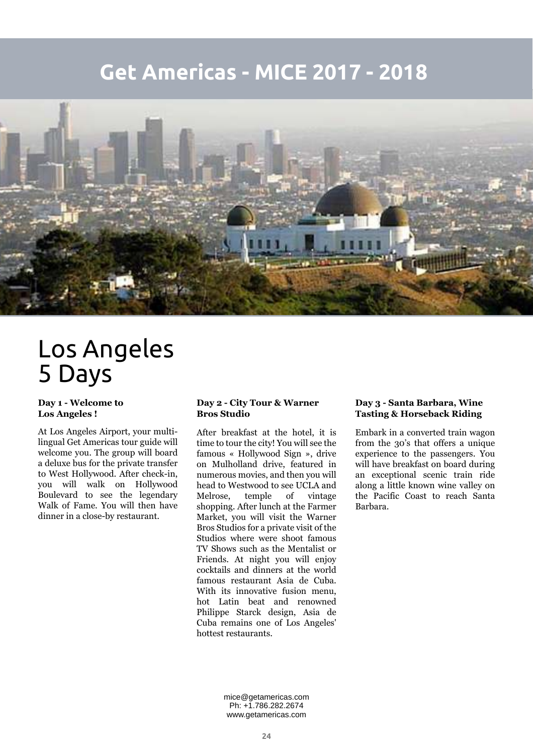## **Get Americas - MICE 2017 - 2018**



# Los Angeles 5 Days

### **Day 1 - Welcome to Los Angeles !**

At Los Angeles Airport, your multilingual Get Americas tour guide will welcome you. The group will board a deluxe bus for the private transfer to West Hollywood. After check-in, you will walk on Hollywood Boulevard to see the legendary Walk of Fame. You will then have dinner in a close-by restaurant.

### **Day 2 - City Tour & Warner Bros Studio**

After breakfast at the hotel, it is time to tour the city! You will see the famous « Hollywood Sign », drive on Mulholland drive, featured in numerous movies, and then you will head to Westwood to see UCLA and Melrose, temple of vintage shopping. After lunch at the Farmer Market, you will visit the Warner Bros Studios for a private visit of the Studios where were shoot famous TV Shows such as the Mentalist or Friends. At night you will enjoy cocktails and dinners at the world famous restaurant Asia de Cuba. With its innovative fusion menu, hot Latin beat and renowned Philippe Starck design, Asia de Cuba remains one of Los Angeles' hottest restaurants.

#### **Day 3 - Santa Barbara, Wine Tasting & Horseback Riding**

Embark in a converted train wagon from the 30's that offers a unique experience to the passengers. You will have breakfast on board during an exceptional scenic train ride along a little known wine valley on the Pacific Coast to reach Santa Barbara.

mice@getamericas.com Ph: +1.786.282.2674 www.getamericas.com